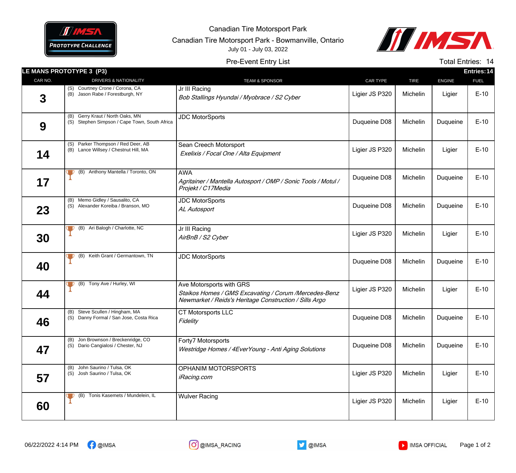

Canadian Tire Motorsport Park

Canadian Tire Motorsport Park - Bowmanville, Ontario July 01 - July 03, 2022



Pre-Event Entry List

Total Entries: 14

|             | LE MANS PROTOTYPE 3 (P3)                                                             |                                                                                                                                              |                 |             |               | Entries: 14 |
|-------------|--------------------------------------------------------------------------------------|----------------------------------------------------------------------------------------------------------------------------------------------|-----------------|-------------|---------------|-------------|
| CAR NO.     | DRIVERS & NATIONALITY                                                                | <b>TEAM &amp; SPONSOR</b>                                                                                                                    | <b>CAR TYPE</b> | <b>TIRE</b> | <b>ENGINE</b> | <b>FUEL</b> |
| $\mathbf 3$ | (S) Courtney Crone / Corona, CA<br>(B) Jason Rabe / Forestburgh, NY                  | Jr III Racing<br>Bob Stallings Hyundai / Myobrace / S2 Cyber                                                                                 | Ligier JS P320  | Michelin    | Ligier        | $E-10$      |
| 9           | Gerry Kraut / North Oaks, MN<br>(B)<br>(S) Stephen Simpson / Cape Town, South Africa | <b>JDC MotorSports</b>                                                                                                                       | Duqueine D08    | Michelin    | Duqueine      | $E-10$      |
| 14          | (S) Parker Thompson / Red Deer, AB<br>(B) Lance Willsey / Chestnut Hill, MA          | Sean Creech Motorsport<br>Exelixis / Focal One / Alta Equipment                                                                              | Ligier JS P320  | Michelin    | Ligier        | $E-10$      |
| 17          | (B) Anthony Mantella / Toronto, ON                                                   | <b>AWA</b><br>Agritainer / Mantella Autosport / OMP / Sonic Tools / Motul /<br>Projekt / C17Media                                            | Duqueine D08    | Michelin    | Duqueine      | $E-10$      |
| 23          | Memo Gidley / Sausalito, CA<br>(B)<br>(S) Alexander Koreiba / Branson, MO            | <b>JDC MotorSports</b><br>AL Autosport                                                                                                       | Duqueine D08    | Michelin    | Duqueine      | $E-10$      |
| 30          | (B) Ari Balogh / Charlotte, NC<br>JD.<br>$\blacktriangleright$                       | Jr III Racing<br>AirBnB / S2 Cyber                                                                                                           | Ligier JS P320  | Michelin    | Ligier        | $E-10$      |
| 40          | Keith Grant / Germantown, TN<br>(B)<br>그                                             | <b>JDC MotorSports</b>                                                                                                                       | Duqueine D08    | Michelin    | Duqueine      | $E-10$      |
| 44          | (B) Tony Ave / Hurley, WI                                                            | Ave Motorsports with GRS<br>Staikos Homes / GMS Excavating / Corum / Mercedes-Benz<br>Newmarket / Reids's Heritage Construction / Sills Argo | Ligier JS P320  | Michelin    | Ligier        | $E-10$      |
| 46          | (B) Steve Scullen / Hingham, MA<br>(S) Danny Formal / San Jose, Costa Rica           | CT Motorsports LLC<br>Fidelity                                                                                                               | Duqueine D08    | Michelin    | Duqueine      | $E-10$      |
| 47          | (B) Jon Brownson / Breckenridge, CO<br>(S) Dario Cangialosi / Chester, NJ            | Forty7 Motorsports<br>Westridge Homes / 4EverYoung - Anti Aging Solutions                                                                    | Duqueine D08    | Michelin    | Duqueine      | $E-10$      |
| 57          | (B) John Saurino / Tulsa, OK<br>(S) Josh Saurino / Tulsa, OK                         | OPHANIM MOTORSPORTS<br><i>iRacing.com</i>                                                                                                    | Ligier JS P320  | Michelin    | Ligier        | $E-10$      |
| 60          | Tonis Kasemets / Mundelein, IL<br>(B)                                                | <b>Wulver Racing</b>                                                                                                                         | Ligier JS P320  | Michelin    | Ligier        | $E-10$      |
|             |                                                                                      |                                                                                                                                              |                 |             |               |             |